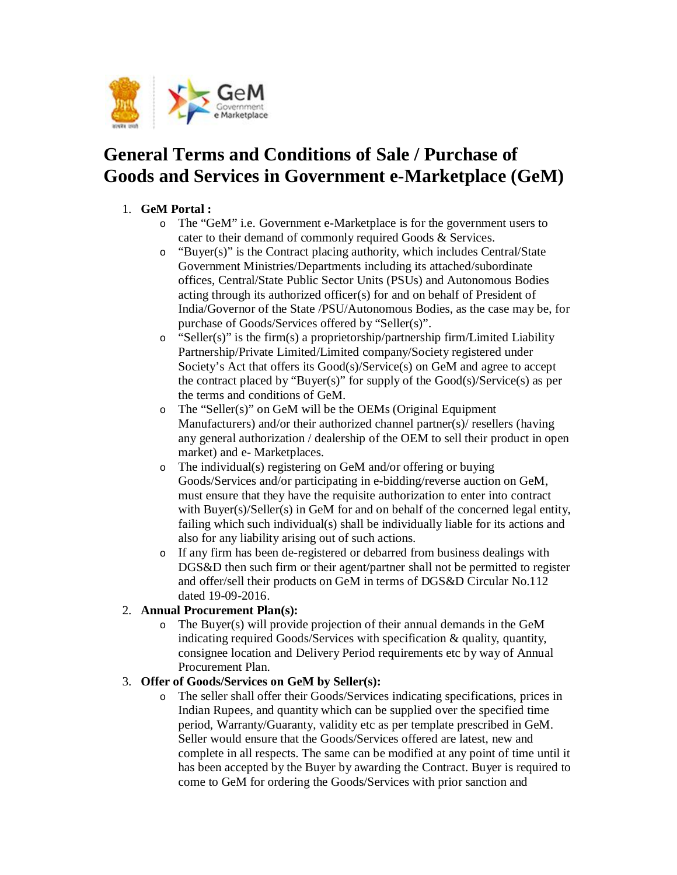

# **General Terms and Conditions of Sale / Purchase of Goods and Services in Government e-Marketplace (GeM)**

## 1. **GeM Portal :**

- o The "GeM" i.e. Government e-Marketplace is for the government users to cater to their demand of commonly required Goods & Services.
- o "Buyer(s)" is the Contract placing authority, which includes Central/State Government Ministries/Departments including its attached/subordinate offices, Central/State Public Sector Units (PSUs) and Autonomous Bodies acting through its authorized officer(s) for and on behalf of President of India/Governor of the State /PSU/Autonomous Bodies, as the case may be, for purchase of Goods/Services offered by "Seller(s)".
- o "Seller(s)" is the firm(s) a proprietorship/partnership firm/Limited Liability Partnership/Private Limited/Limited company/Society registered under Society's Act that offers its Good(s)/Service(s) on GeM and agree to accept the contract placed by "Buyer(s)" for supply of the Good(s)/Service(s) as per the terms and conditions of GeM.
- o The "Seller(s)" on GeM will be the OEMs (Original Equipment Manufacturers) and/or their authorized channel partner(s)/ resellers (having any general authorization / dealership of the OEM to sell their product in open market) and e- Marketplaces.
- o The individual(s) registering on GeM and/or offering or buying Goods/Services and/or participating in e-bidding/reverse auction on GeM, must ensure that they have the requisite authorization to enter into contract with Buyer(s)/Seller(s) in GeM for and on behalf of the concerned legal entity, failing which such individual(s) shall be individually liable for its actions and also for any liability arising out of such actions.
- o If any firm has been de-registered or debarred from business dealings with DGS&D then such firm or their agent/partner shall not be permitted to register and offer/sell their products on GeM in terms of DGS&D Circular No.112 dated 19-09-2016.

## 2. **Annual Procurement Plan(s):**

o The Buyer(s) will provide projection of their annual demands in the GeM indicating required Goods/Services with specification & quality, quantity, consignee location and Delivery Period requirements etc by way of Annual Procurement Plan.

## 3. **Offer of Goods/Services on GeM by Seller(s):**

o The seller shall offer their Goods/Services indicating specifications, prices in Indian Rupees, and quantity which can be supplied over the specified time period, Warranty/Guaranty, validity etc as per template prescribed in GeM. Seller would ensure that the Goods/Services offered are latest, new and complete in all respects. The same can be modified at any point of time until it has been accepted by the Buyer by awarding the Contract. Buyer is required to come to GeM for ordering the Goods/Services with prior sanction and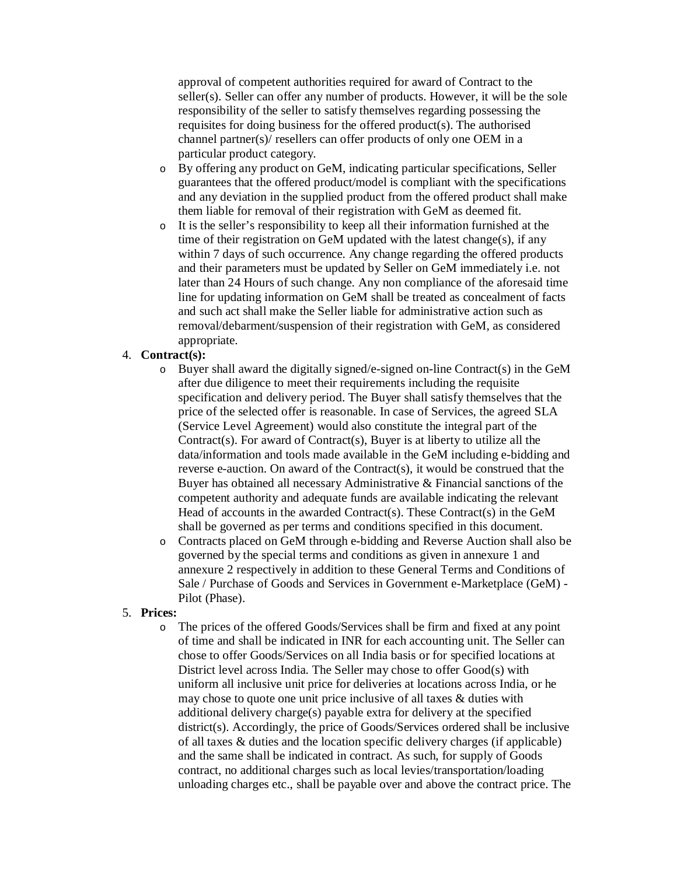approval of competent authorities required for award of Contract to the seller(s). Seller can offer any number of products. However, it will be the sole responsibility of the seller to satisfy themselves regarding possessing the requisites for doing business for the offered product(s). The authorised channel partner(s)/ resellers can offer products of only one OEM in a particular product category.

- o By offering any product on GeM, indicating particular specifications, Seller guarantees that the offered product/model is compliant with the specifications and any deviation in the supplied product from the offered product shall make them liable for removal of their registration with GeM as deemed fit.
- o It is the seller's responsibility to keep all their information furnished at the time of their registration on GeM updated with the latest change(s), if any within 7 days of such occurrence. Any change regarding the offered products and their parameters must be updated by Seller on GeM immediately i.e. not later than 24 Hours of such change. Any non compliance of the aforesaid time line for updating information on GeM shall be treated as concealment of facts and such act shall make the Seller liable for administrative action such as removal/debarment/suspension of their registration with GeM, as considered appropriate.

#### 4. **Contract(s):**

- o Buyer shall award the digitally signed/e-signed on-line Contract(s) in the GeM after due diligence to meet their requirements including the requisite specification and delivery period. The Buyer shall satisfy themselves that the price of the selected offer is reasonable. In case of Services, the agreed SLA (Service Level Agreement) would also constitute the integral part of the Contract(s). For award of Contract(s), Buyer is at liberty to utilize all the data/information and tools made available in the GeM including e-bidding and reverse e-auction. On award of the Contract(s), it would be construed that the Buyer has obtained all necessary Administrative & Financial sanctions of the competent authority and adequate funds are available indicating the relevant Head of accounts in the awarded Contract(s). These Contract(s) in the GeM shall be governed as per terms and conditions specified in this document.
- o Contracts placed on GeM through e-bidding and Reverse Auction shall also be governed by the special terms and conditions as given in annexure 1 and annexure 2 respectively in addition to these General Terms and Conditions of Sale / Purchase of Goods and Services in Government e-Marketplace (GeM) - Pilot (Phase).

#### 5. **Prices:**

o The prices of the offered Goods/Services shall be firm and fixed at any point of time and shall be indicated in INR for each accounting unit. The Seller can chose to offer Goods/Services on all India basis or for specified locations at District level across India. The Seller may chose to offer Good(s) with uniform all inclusive unit price for deliveries at locations across India, or he may chose to quote one unit price inclusive of all taxes & duties with additional delivery charge(s) payable extra for delivery at the specified district(s). Accordingly, the price of Goods/Services ordered shall be inclusive of all taxes & duties and the location specific delivery charges (if applicable) and the same shall be indicated in contract. As such, for supply of Goods contract, no additional charges such as local levies/transportation/loading unloading charges etc., shall be payable over and above the contract price. The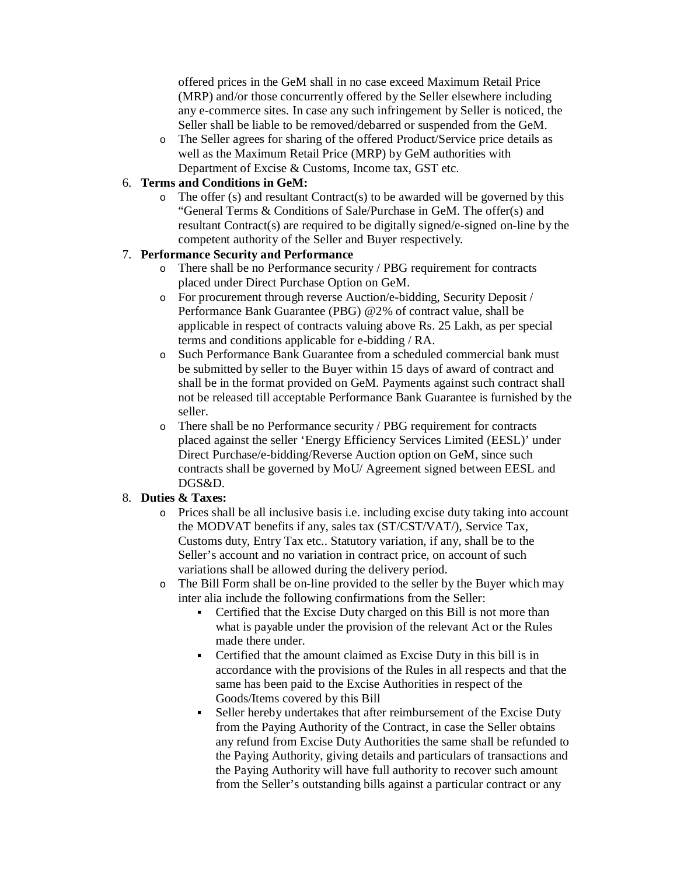offered prices in the GeM shall in no case exceed Maximum Retail Price (MRP) and/or those concurrently offered by the Seller elsewhere including any e-commerce sites. In case any such infringement by Seller is noticed, the Seller shall be liable to be removed/debarred or suspended from the GeM.

o The Seller agrees for sharing of the offered Product/Service price details as well as the Maximum Retail Price (MRP) by GeM authorities with Department of Excise & Customs, Income tax, GST etc.

## 6. **Terms and Conditions in GeM:**

 $\circ$  The offer (s) and resultant Contract(s) to be awarded will be governed by this "General Terms & Conditions of Sale/Purchase in GeM. The offer(s) and resultant Contract(s) are required to be digitally signed/e-signed on-line by the competent authority of the Seller and Buyer respectively.

#### 7. **Performance Security and Performance**

- o There shall be no Performance security / PBG requirement for contracts placed under Direct Purchase Option on GeM.
- o For procurement through reverse Auction/e-bidding, Security Deposit / Performance Bank Guarantee (PBG) @2% of contract value, shall be applicable in respect of contracts valuing above Rs. 25 Lakh, as per special terms and conditions applicable for e-bidding / RA.
- o Such Performance Bank Guarantee from a scheduled commercial bank must be submitted by seller to the Buyer within 15 days of award of contract and shall be in the format provided on GeM. Payments against such contract shall not be released till acceptable Performance Bank Guarantee is furnished by the seller.
- o There shall be no Performance security / PBG requirement for contracts placed against the seller 'Energy Efficiency Services Limited (EESL)' under Direct Purchase/e-bidding/Reverse Auction option on GeM, since such contracts shall be governed by MoU/ Agreement signed between EESL and DGS&D.

## 8. **Duties & Taxes:**

- o Prices shall be all inclusive basis i.e. including excise duty taking into account the MODVAT benefits if any, sales tax (ST/CST/VAT/), Service Tax, Customs duty, Entry Tax etc.. Statutory variation, if any, shall be to the Seller's account and no variation in contract price, on account of such variations shall be allowed during the delivery period.
- o The Bill Form shall be on-line provided to the seller by the Buyer which may inter alia include the following confirmations from the Seller:
	- Certified that the Excise Duty charged on this Bill is not more than what is payable under the provision of the relevant Act or the Rules made there under.
	- Certified that the amount claimed as Excise Duty in this bill is in accordance with the provisions of the Rules in all respects and that the same has been paid to the Excise Authorities in respect of the Goods/Items covered by this Bill
	- Seller hereby undertakes that after reimbursement of the Excise Duty from the Paying Authority of the Contract, in case the Seller obtains any refund from Excise Duty Authorities the same shall be refunded to the Paying Authority, giving details and particulars of transactions and the Paying Authority will have full authority to recover such amount from the Seller's outstanding bills against a particular contract or any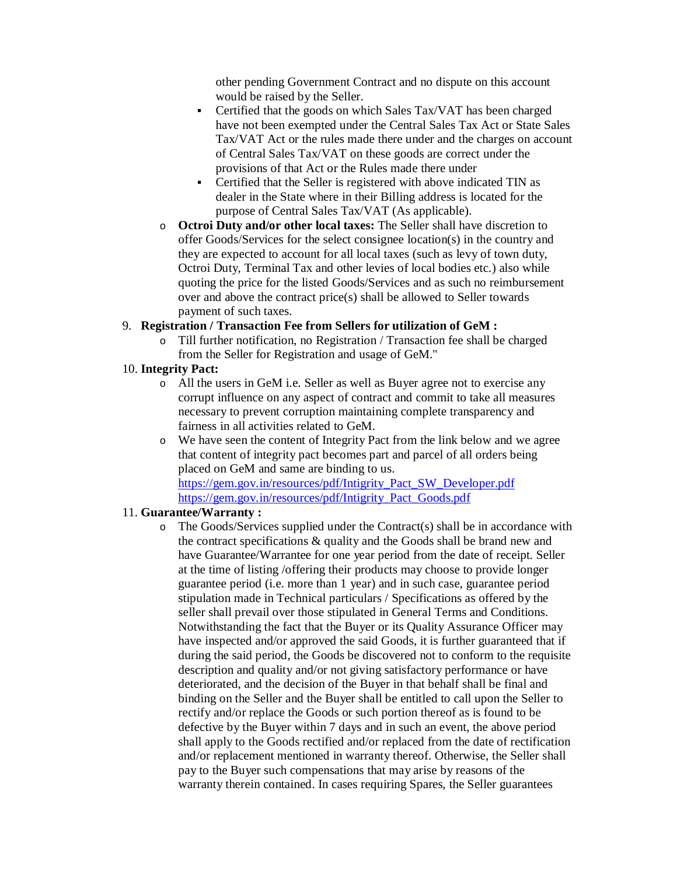other pending Government Contract and no dispute on this account would be raised by the Seller.

- Certified that the goods on which Sales Tax/VAT has been charged have not been exempted under the Central Sales Tax Act or State Sales Tax/VAT Act or the rules made there under and the charges on account of Central Sales Tax/VAT on these goods are correct under the provisions of that Act or the Rules made there under
- Certified that the Seller is registered with above indicated TIN as dealer in the State where in their Billing address is located for the purpose of Central Sales Tax/VAT (As applicable).
- o **Octroi Duty and/or other local taxes:** The Seller shall have discretion to offer Goods/Services for the select consignee location(s) in the country and they are expected to account for all local taxes (such as levy of town duty, Octroi Duty, Terminal Tax and other levies of local bodies etc.) also while quoting the price for the listed Goods/Services and as such no reimbursement over and above the contract price(s) shall be allowed to Seller towards payment of such taxes.

#### 9. **Registration / Transaction Fee from Sellers for utilization of GeM :**

o Till further notification, no Registration / Transaction fee shall be charged from the Seller for Registration and usage of GeM."

#### 10. **Integrity Pact:**

- o All the users in GeM i.e. Seller as well as Buyer agree not to exercise any corrupt influence on any aspect of contract and commit to take all measures necessary to prevent corruption maintaining complete transparency and fairness in all activities related to GeM.
- o We have seen the content of Integrity Pact from the link below and we agree that content of integrity pact becomes part and parcel of all orders being placed on GeM and same are binding to us. https://gem.gov.in/resources/pdf/Intigrity\_Pact\_SW\_Developer.pdf https://gem.gov.in/resources/pdf/Intigrity\_Pact\_Goods.pdf

## 11. **Guarantee/Warranty :**

o The Goods/Services supplied under the Contract(s) shall be in accordance with the contract specifications & quality and the Goods shall be brand new and have Guarantee/Warrantee for one year period from the date of receipt. Seller at the time of listing /offering their products may choose to provide longer guarantee period (i.e. more than 1 year) and in such case, guarantee period stipulation made in Technical particulars / Specifications as offered by the seller shall prevail over those stipulated in General Terms and Conditions. Notwithstanding the fact that the Buyer or its Quality Assurance Officer may have inspected and/or approved the said Goods, it is further guaranteed that if during the said period, the Goods be discovered not to conform to the requisite description and quality and/or not giving satisfactory performance or have deteriorated, and the decision of the Buyer in that behalf shall be final and binding on the Seller and the Buyer shall be entitled to call upon the Seller to rectify and/or replace the Goods or such portion thereof as is found to be defective by the Buyer within 7 days and in such an event, the above period shall apply to the Goods rectified and/or replaced from the date of rectification and/or replacement mentioned in warranty thereof. Otherwise, the Seller shall pay to the Buyer such compensations that may arise by reasons of the warranty therein contained. In cases requiring Spares, the Seller guarantees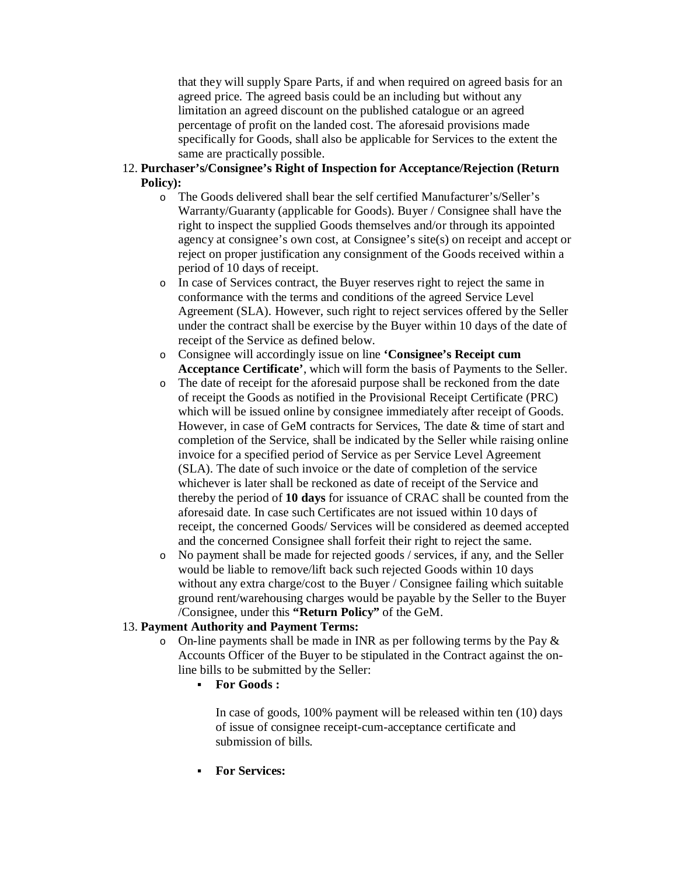that they will supply Spare Parts, if and when required on agreed basis for an agreed price. The agreed basis could be an including but without any limitation an agreed discount on the published catalogue or an agreed percentage of profit on the landed cost. The aforesaid provisions made specifically for Goods, shall also be applicable for Services to the extent the same are practically possible.

- 12. **Purchaser's/Consignee's Right of Inspection for Acceptance/Rejection (Return Policy):**
	- o The Goods delivered shall bear the self certified Manufacturer's/Seller's Warranty/Guaranty (applicable for Goods). Buyer / Consignee shall have the right to inspect the supplied Goods themselves and/or through its appointed agency at consignee's own cost, at Consignee's site(s) on receipt and accept or reject on proper justification any consignment of the Goods received within a period of 10 days of receipt.
	- o In case of Services contract, the Buyer reserves right to reject the same in conformance with the terms and conditions of the agreed Service Level Agreement (SLA). However, such right to reject services offered by the Seller under the contract shall be exercise by the Buyer within 10 days of the date of receipt of the Service as defined below.
	- o Consignee will accordingly issue on line **'Consignee's Receipt cum Acceptance Certificate'**, which will form the basis of Payments to the Seller.
	- o The date of receipt for the aforesaid purpose shall be reckoned from the date of receipt the Goods as notified in the Provisional Receipt Certificate (PRC) which will be issued online by consignee immediately after receipt of Goods. However, in case of GeM contracts for Services, The date & time of start and completion of the Service, shall be indicated by the Seller while raising online invoice for a specified period of Service as per Service Level Agreement (SLA). The date of such invoice or the date of completion of the service whichever is later shall be reckoned as date of receipt of the Service and thereby the period of **10 days** for issuance of CRAC shall be counted from the aforesaid date. In case such Certificates are not issued within 10 days of receipt, the concerned Goods/ Services will be considered as deemed accepted and the concerned Consignee shall forfeit their right to reject the same.
	- o No payment shall be made for rejected goods / services, if any, and the Seller would be liable to remove/lift back such rejected Goods within 10 days without any extra charge/cost to the Buyer / Consignee failing which suitable ground rent/warehousing charges would be payable by the Seller to the Buyer /Consignee, under this **"Return Policy"** of the GeM.

#### 13. **Payment Authority and Payment Terms:**

- o On-line payments shall be made in INR as per following terms by the Pay & Accounts Officer of the Buyer to be stipulated in the Contract against the online bills to be submitted by the Seller:
	- **For Goods :**

In case of goods, 100% payment will be released within ten (10) days of issue of consignee receipt-cum-acceptance certificate and submission of bills.

**For Services:**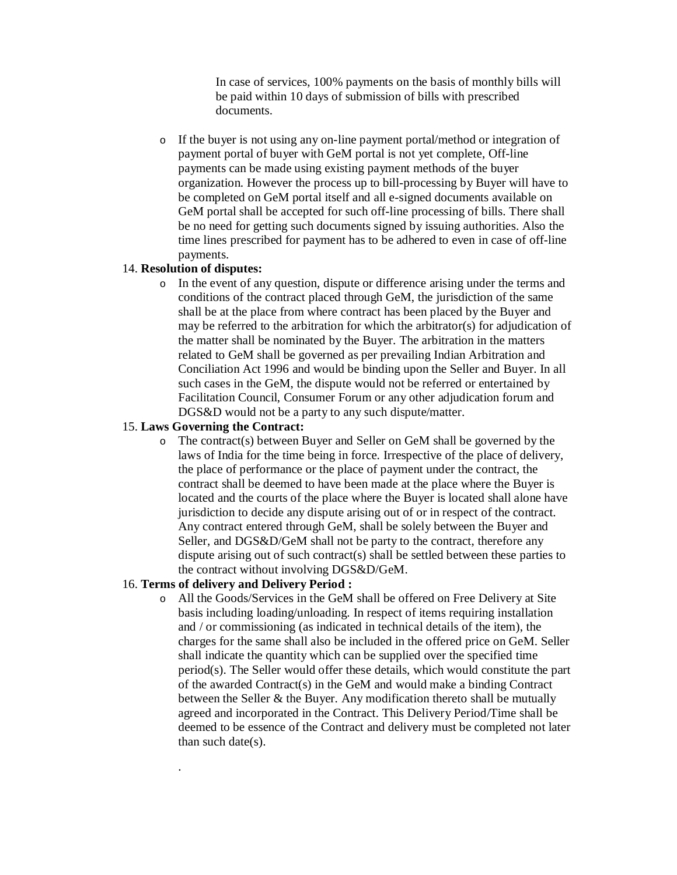In case of services, 100% payments on the basis of monthly bills will be paid within 10 days of submission of bills with prescribed documents.

o If the buyer is not using any on-line payment portal/method or integration of payment portal of buyer with GeM portal is not yet complete, Off-line payments can be made using existing payment methods of the buyer organization. However the process up to bill-processing by Buyer will have to be completed on GeM portal itself and all e-signed documents available on GeM portal shall be accepted for such off-line processing of bills. There shall be no need for getting such documents signed by issuing authorities. Also the time lines prescribed for payment has to be adhered to even in case of off-line payments.

#### 14. **Resolution of disputes:**

o In the event of any question, dispute or difference arising under the terms and conditions of the contract placed through GeM, the jurisdiction of the same shall be at the place from where contract has been placed by the Buyer and may be referred to the arbitration for which the arbitrator(s) for adjudication of the matter shall be nominated by the Buyer. The arbitration in the matters related to GeM shall be governed as per prevailing Indian Arbitration and Conciliation Act 1996 and would be binding upon the Seller and Buyer. In all such cases in the GeM, the dispute would not be referred or entertained by Facilitation Council, Consumer Forum or any other adjudication forum and DGS&D would not be a party to any such dispute/matter.

#### 15. **Laws Governing the Contract:**

o The contract(s) between Buyer and Seller on GeM shall be governed by the laws of India for the time being in force. Irrespective of the place of delivery, the place of performance or the place of payment under the contract, the contract shall be deemed to have been made at the place where the Buyer is located and the courts of the place where the Buyer is located shall alone have jurisdiction to decide any dispute arising out of or in respect of the contract. Any contract entered through GeM, shall be solely between the Buyer and Seller, and DGS&D/GeM shall not be party to the contract, therefore any dispute arising out of such contract(s) shall be settled between these parties to the contract without involving DGS&D/GeM.

#### 16. **Terms of delivery and Delivery Period :**

·

o All the Goods/Services in the GeM shall be offered on Free Delivery at Site basis including loading/unloading. In respect of items requiring installation and / or commissioning (as indicated in technical details of the item), the charges for the same shall also be included in the offered price on GeM. Seller shall indicate the quantity which can be supplied over the specified time period(s). The Seller would offer these details, which would constitute the part of the awarded Contract(s) in the GeM and would make a binding Contract between the Seller  $&$  the Buyer. Any modification thereto shall be mutually agreed and incorporated in the Contract. This Delivery Period/Time shall be deemed to be essence of the Contract and delivery must be completed not later than such date(s).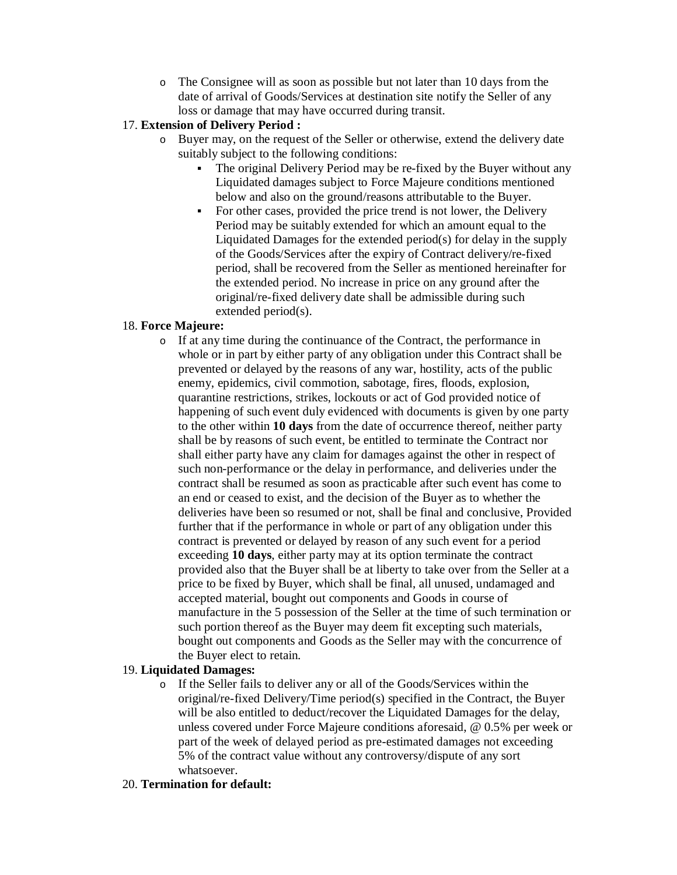o The Consignee will as soon as possible but not later than 10 days from the date of arrival of Goods/Services at destination site notify the Seller of any loss or damage that may have occurred during transit.

## 17. **Extension of Delivery Period :**

- o Buyer may, on the request of the Seller or otherwise, extend the delivery date suitably subject to the following conditions:
	- The original Delivery Period may be re-fixed by the Buyer without any Liquidated damages subject to Force Majeure conditions mentioned below and also on the ground/reasons attributable to the Buyer.
	- For other cases, provided the price trend is not lower, the Delivery Period may be suitably extended for which an amount equal to the Liquidated Damages for the extended period(s) for delay in the supply of the Goods/Services after the expiry of Contract delivery/re-fixed period, shall be recovered from the Seller as mentioned hereinafter for the extended period. No increase in price on any ground after the original/re-fixed delivery date shall be admissible during such extended period(s).

#### 18. **Force Majeure:**

o If at any time during the continuance of the Contract, the performance in whole or in part by either party of any obligation under this Contract shall be prevented or delayed by the reasons of any war, hostility, acts of the public enemy, epidemics, civil commotion, sabotage, fires, floods, explosion, quarantine restrictions, strikes, lockouts or act of God provided notice of happening of such event duly evidenced with documents is given by one party to the other within **10 days** from the date of occurrence thereof, neither party shall be by reasons of such event, be entitled to terminate the Contract nor shall either party have any claim for damages against the other in respect of such non-performance or the delay in performance, and deliveries under the contract shall be resumed as soon as practicable after such event has come to an end or ceased to exist, and the decision of the Buyer as to whether the deliveries have been so resumed or not, shall be final and conclusive, Provided further that if the performance in whole or part of any obligation under this contract is prevented or delayed by reason of any such event for a period exceeding **10 days**, either party may at its option terminate the contract provided also that the Buyer shall be at liberty to take over from the Seller at a price to be fixed by Buyer, which shall be final, all unused, undamaged and accepted material, bought out components and Goods in course of manufacture in the 5 possession of the Seller at the time of such termination or such portion thereof as the Buyer may deem fit excepting such materials, bought out components and Goods as the Seller may with the concurrence of the Buyer elect to retain.

## 19. **Liquidated Damages:**

o If the Seller fails to deliver any or all of the Goods/Services within the original/re-fixed Delivery/Time period(s) specified in the Contract, the Buyer will be also entitled to deduct/recover the Liquidated Damages for the delay, unless covered under Force Majeure conditions aforesaid, @ 0.5% per week or part of the week of delayed period as pre-estimated damages not exceeding 5% of the contract value without any controversy/dispute of any sort whatsoever.

#### 20. **Termination for default:**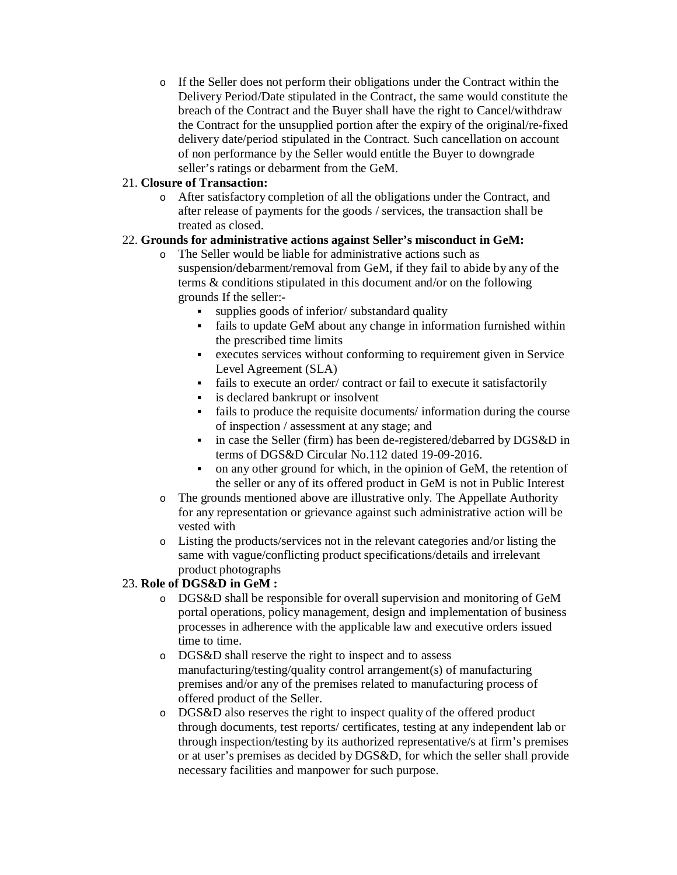o If the Seller does not perform their obligations under the Contract within the Delivery Period/Date stipulated in the Contract, the same would constitute the breach of the Contract and the Buyer shall have the right to Cancel/withdraw the Contract for the unsupplied portion after the expiry of the original/re-fixed delivery date/period stipulated in the Contract. Such cancellation on account of non performance by the Seller would entitle the Buyer to downgrade seller's ratings or debarment from the GeM.

## 21. **Closure of Transaction:**

o After satisfactory completion of all the obligations under the Contract, and after release of payments for the goods / services, the transaction shall be treated as closed.

## 22. **Grounds for administrative actions against Seller's misconduct in GeM:**

- o The Seller would be liable for administrative actions such as suspension/debarment/removal from GeM, if they fail to abide by any of the terms & conditions stipulated in this document and/or on the following grounds If the seller:
	- supplies goods of inferior/ substandard quality
	- fails to update GeM about any change in information furnished within the prescribed time limits
	- executes services without conforming to requirement given in Service Level Agreement (SLA)
	- fails to execute an order/ contract or fail to execute it satisfactorily
	- is declared bankrupt or insolvent
	- fails to produce the requisite documents/ information during the course of inspection / assessment at any stage; and
	- in case the Seller (firm) has been de-registered/debarred by DGS&D in terms of DGS&D Circular No.112 dated 19-09-2016.
	- on any other ground for which, in the opinion of GeM, the retention of the seller or any of its offered product in GeM is not in Public Interest
- o The grounds mentioned above are illustrative only. The Appellate Authority for any representation or grievance against such administrative action will be vested with
- o Listing the products/services not in the relevant categories and/or listing the same with vague/conflicting product specifications/details and irrelevant product photographs

## 23. **Role of DGS&D in GeM :**

- o DGS&D shall be responsible for overall supervision and monitoring of GeM portal operations, policy management, design and implementation of business processes in adherence with the applicable law and executive orders issued time to time.
- o DGS&D shall reserve the right to inspect and to assess manufacturing/testing/quality control arrangement(s) of manufacturing premises and/or any of the premises related to manufacturing process of offered product of the Seller.
- o DGS&D also reserves the right to inspect quality of the offered product through documents, test reports/ certificates, testing at any independent lab or through inspection/testing by its authorized representative/s at firm's premises or at user's premises as decided by DGS&D, for which the seller shall provide necessary facilities and manpower for such purpose.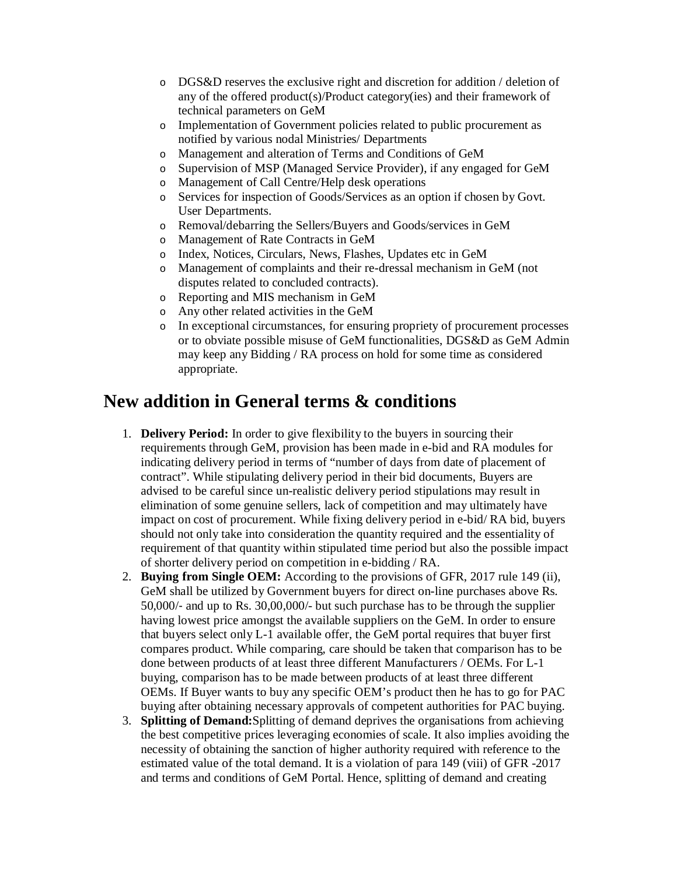- o DGS&D reserves the exclusive right and discretion for addition / deletion of any of the offered product(s)/Product category(ies) and their framework of technical parameters on GeM
- o Implementation of Government policies related to public procurement as notified by various nodal Ministries/ Departments
- o Management and alteration of Terms and Conditions of GeM
- o Supervision of MSP (Managed Service Provider), if any engaged for GeM
- o Management of Call Centre/Help desk operations
- o Services for inspection of Goods/Services as an option if chosen by Govt. User Departments.
- o Removal/debarring the Sellers/Buyers and Goods/services in GeM
- o Management of Rate Contracts in GeM
- o Index, Notices, Circulars, News, Flashes, Updates etc in GeM
- o Management of complaints and their re-dressal mechanism in GeM (not disputes related to concluded contracts).
- o Reporting and MIS mechanism in GeM
- o Any other related activities in the GeM
- o In exceptional circumstances, for ensuring propriety of procurement processes or to obviate possible misuse of GeM functionalities, DGS&D as GeM Admin may keep any Bidding / RA process on hold for some time as considered appropriate.

# **New addition in General terms & conditions**

- 1. **Delivery Period:** In order to give flexibility to the buyers in sourcing their requirements through GeM, provision has been made in e-bid and RA modules for indicating delivery period in terms of "number of days from date of placement of contract". While stipulating delivery period in their bid documents, Buyers are advised to be careful since un-realistic delivery period stipulations may result in elimination of some genuine sellers, lack of competition and may ultimately have impact on cost of procurement. While fixing delivery period in e-bid/ RA bid, buyers should not only take into consideration the quantity required and the essentiality of requirement of that quantity within stipulated time period but also the possible impact of shorter delivery period on competition in e-bidding / RA.
- 2. **Buying from Single OEM:** According to the provisions of GFR, 2017 rule 149 (ii), GeM shall be utilized by Government buyers for direct on-line purchases above Rs. 50,000/‐ and up to Rs. 30,00,000/- but such purchase has to be through the supplier having lowest price amongst the available suppliers on the GeM. In order to ensure that buyers select only L-1 available offer, the GeM portal requires that buyer first compares product. While comparing, care should be taken that comparison has to be done between products of at least three different Manufacturers / OEMs. For L-1 buying, comparison has to be made between products of at least three different OEMs. If Buyer wants to buy any specific OEM's product then he has to go for PAC buying after obtaining necessary approvals of competent authorities for PAC buying.
- 3. **Splitting of Demand:**Splitting of demand deprives the organisations from achieving the best competitive prices leveraging economies of scale. It also implies avoiding the necessity of obtaining the sanction of higher authority required with reference to the estimated value of the total demand. It is a violation of para 149 (viii) of GFR -2017 and terms and conditions of GeM Portal. Hence, splitting of demand and creating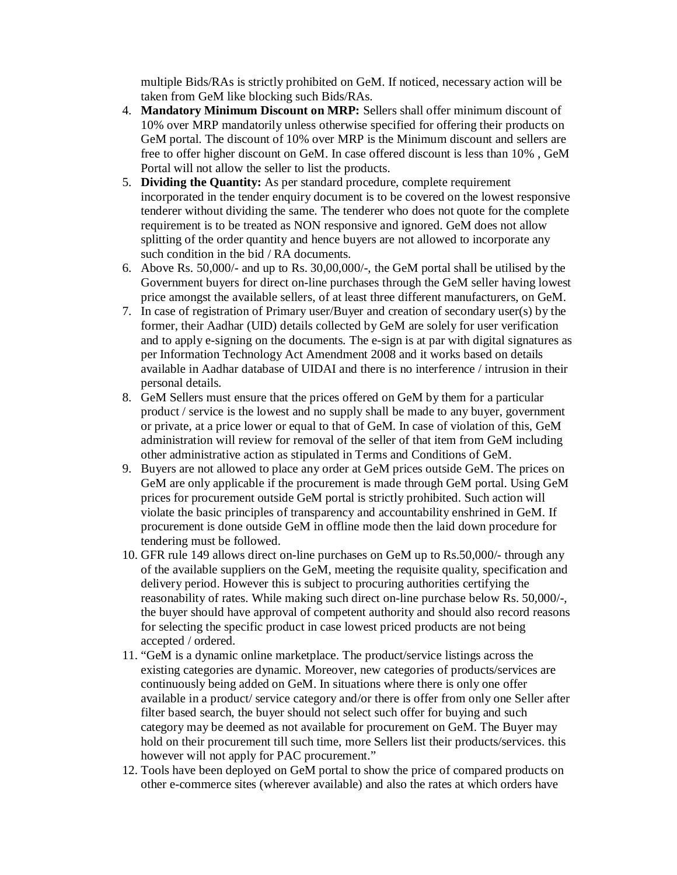multiple Bids/RAs is strictly prohibited on GeM. If noticed, necessary action will be taken from GeM like blocking such Bids/RAs.

- 4. **Mandatory Minimum Discount on MRP:** Sellers shall offer minimum discount of 10% over MRP mandatorily unless otherwise specified for offering their products on GeM portal. The discount of 10% over MRP is the Minimum discount and sellers are free to offer higher discount on GeM. In case offered discount is less than 10% , GeM Portal will not allow the seller to list the products.
- 5. **Dividing the Quantity:** As per standard procedure, complete requirement incorporated in the tender enquiry document is to be covered on the lowest responsive tenderer without dividing the same. The tenderer who does not quote for the complete requirement is to be treated as NON responsive and ignored. GeM does not allow splitting of the order quantity and hence buyers are not allowed to incorporate any such condition in the bid / RA documents.
- 6. Above Rs. 50,000/- and up to Rs. 30,00,000/-, the GeM portal shall be utilised by the Government buyers for direct on-line purchases through the GeM seller having lowest price amongst the available sellers, of at least three different manufacturers, on GeM.
- 7. In case of registration of Primary user/Buyer and creation of secondary user(s) by the former, their Aadhar (UID) details collected by GeM are solely for user verification and to apply e-signing on the documents. The e-sign is at par with digital signatures as per Information Technology Act Amendment 2008 and it works based on details available in Aadhar database of UIDAI and there is no interference / intrusion in their personal details.
- 8. GeM Sellers must ensure that the prices offered on GeM by them for a particular product / service is the lowest and no supply shall be made to any buyer, government or private, at a price lower or equal to that of GeM. In case of violation of this, GeM administration will review for removal of the seller of that item from GeM including other administrative action as stipulated in Terms and Conditions of GeM.
- 9. Buyers are not allowed to place any order at GeM prices outside GeM. The prices on GeM are only applicable if the procurement is made through GeM portal. Using GeM prices for procurement outside GeM portal is strictly prohibited. Such action will violate the basic principles of transparency and accountability enshrined in GeM. If procurement is done outside GeM in offline mode then the laid down procedure for tendering must be followed.
- 10. GFR rule 149 allows direct on-line purchases on GeM up to Rs.50,000/- through any of the available suppliers on the GeM, meeting the requisite quality, specification and delivery period. However this is subject to procuring authorities certifying the reasonability of rates. While making such direct on-line purchase below Rs. 50,000/-, the buyer should have approval of competent authority and should also record reasons for selecting the specific product in case lowest priced products are not being accepted / ordered.
- 11. "GeM is a dynamic online marketplace. The product/service listings across the existing categories are dynamic. Moreover, new categories of products/services are continuously being added on GeM. In situations where there is only one offer available in a product/ service category and/or there is offer from only one Seller after filter based search, the buyer should not select such offer for buying and such category may be deemed as not available for procurement on GeM. The Buyer may hold on their procurement till such time, more Sellers list their products/services. this however will not apply for PAC procurement."
- 12. Tools have been deployed on GeM portal to show the price of compared products on other e-commerce sites (wherever available) and also the rates at which orders have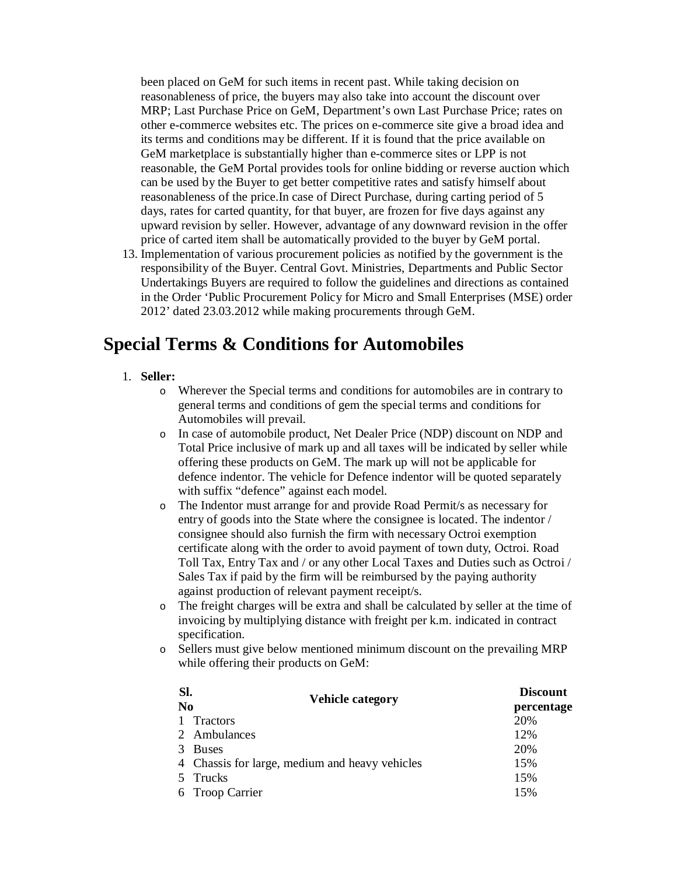been placed on GeM for such items in recent past. While taking decision on reasonableness of price, the buyers may also take into account the discount over MRP; Last Purchase Price on GeM, Department's own Last Purchase Price; rates on other e-commerce websites etc. The prices on e-commerce site give a broad idea and its terms and conditions may be different. If it is found that the price available on GeM marketplace is substantially higher than e-commerce sites or LPP is not reasonable, the GeM Portal provides tools for online bidding or reverse auction which can be used by the Buyer to get better competitive rates and satisfy himself about reasonableness of the price.In case of Direct Purchase, during carting period of 5 days, rates for carted quantity, for that buyer, are frozen for five days against any upward revision by seller. However, advantage of any downward revision in the offer price of carted item shall be automatically provided to the buyer by GeM portal.

13. Implementation of various procurement policies as notified by the government is the responsibility of the Buyer. Central Govt. Ministries, Departments and Public Sector Undertakings Buyers are required to follow the guidelines and directions as contained in the Order 'Public Procurement Policy for Micro and Small Enterprises (MSE) order 2012' dated 23.03.2012 while making procurements through GeM.

# **Special Terms & Conditions for Automobiles**

- 1. **Seller:** 
	- o Wherever the Special terms and conditions for automobiles are in contrary to general terms and conditions of gem the special terms and conditions for Automobiles will prevail.
	- o In case of automobile product, Net Dealer Price (NDP) discount on NDP and Total Price inclusive of mark up and all taxes will be indicated by seller while offering these products on GeM. The mark up will not be applicable for defence indentor. The vehicle for Defence indentor will be quoted separately with suffix "defence" against each model.
	- o The Indentor must arrange for and provide Road Permit/s as necessary for entry of goods into the State where the consignee is located. The indentor / consignee should also furnish the firm with necessary Octroi exemption certificate along with the order to avoid payment of town duty, Octroi. Road Toll Tax, Entry Tax and / or any other Local Taxes and Duties such as Octroi / Sales Tax if paid by the firm will be reimbursed by the paying authority against production of relevant payment receipt/s.
	- o The freight charges will be extra and shall be calculated by seller at the time of invoicing by multiplying distance with freight per k.m. indicated in contract specification.
	- o Sellers must give below mentioned minimum discount on the prevailing MRP while offering their products on GeM:

| SI.<br>N <sub>0</sub> | <b>Vehicle category</b>                        | <b>Discount</b><br>percentage |
|-----------------------|------------------------------------------------|-------------------------------|
| $\overline{1}$        | Tractors                                       | 20%                           |
|                       | 2 Ambulances                                   | 12%                           |
| 3.                    | <b>Buses</b>                                   | 20%                           |
|                       | 4 Chassis for large, medium and heavy vehicles | 15%                           |
|                       | 5 Trucks                                       | 15%                           |
|                       | 6 Troop Carrier                                | 15%                           |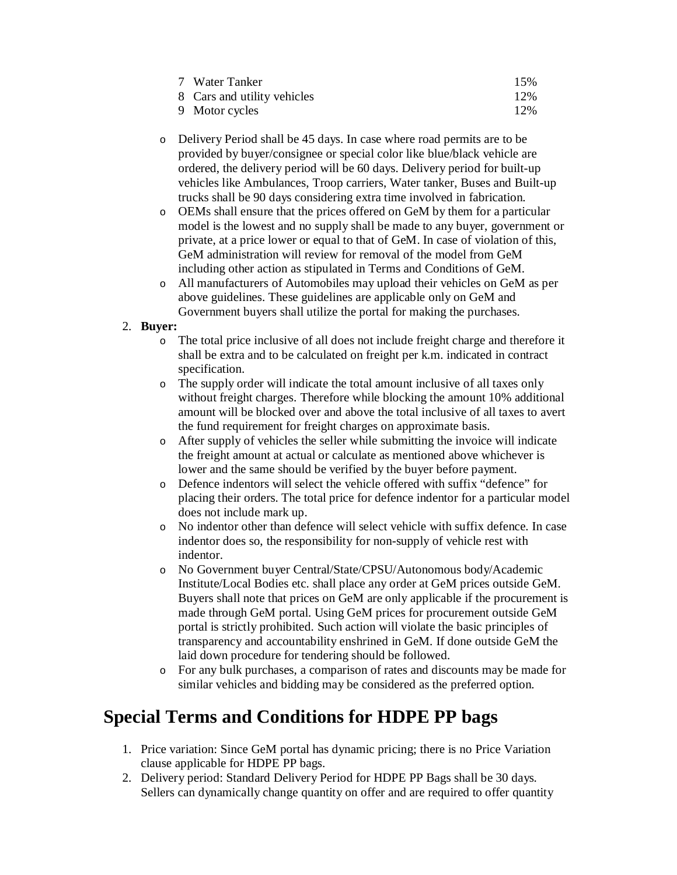| 7 Water Tanker              | 15% |
|-----------------------------|-----|
| 8 Cars and utility vehicles | 12% |
| 9 Motor cycles              | 12% |

- o Delivery Period shall be 45 days. In case where road permits are to be provided by buyer/consignee or special color like blue/black vehicle are ordered, the delivery period will be 60 days. Delivery period for built-up vehicles like Ambulances, Troop carriers, Water tanker, Buses and Built-up trucks shall be 90 days considering extra time involved in fabrication.
- o OEMs shall ensure that the prices offered on GeM by them for a particular model is the lowest and no supply shall be made to any buyer, government or private, at a price lower or equal to that of GeM. In case of violation of this, GeM administration will review for removal of the model from GeM including other action as stipulated in Terms and Conditions of GeM.
- o All manufacturers of Automobiles may upload their vehicles on GeM as per above guidelines. These guidelines are applicable only on GeM and Government buyers shall utilize the portal for making the purchases.

## 2. **Buyer:**

- o The total price inclusive of all does not include freight charge and therefore it shall be extra and to be calculated on freight per k.m. indicated in contract specification.
- o The supply order will indicate the total amount inclusive of all taxes only without freight charges. Therefore while blocking the amount 10% additional amount will be blocked over and above the total inclusive of all taxes to avert the fund requirement for freight charges on approximate basis.
- o After supply of vehicles the seller while submitting the invoice will indicate the freight amount at actual or calculate as mentioned above whichever is lower and the same should be verified by the buyer before payment.
- o Defence indentors will select the vehicle offered with suffix "defence" for placing their orders. The total price for defence indentor for a particular model does not include mark up.
- o No indentor other than defence will select vehicle with suffix defence. In case indentor does so, the responsibility for non-supply of vehicle rest with indentor.
- o No Government buyer Central/State/CPSU/Autonomous body/Academic Institute/Local Bodies etc. shall place any order at GeM prices outside GeM. Buyers shall note that prices on GeM are only applicable if the procurement is made through GeM portal. Using GeM prices for procurement outside GeM portal is strictly prohibited. Such action will violate the basic principles of transparency and accountability enshrined in GeM. If done outside GeM the laid down procedure for tendering should be followed.
- o For any bulk purchases, a comparison of rates and discounts may be made for similar vehicles and bidding may be considered as the preferred option.

# **Special Terms and Conditions for HDPE PP bags**

- 1. Price variation: Since GeM portal has dynamic pricing; there is no Price Variation clause applicable for HDPE PP bags.
- 2. Delivery period: Standard Delivery Period for HDPE PP Bags shall be 30 days. Sellers can dynamically change quantity on offer and are required to offer quantity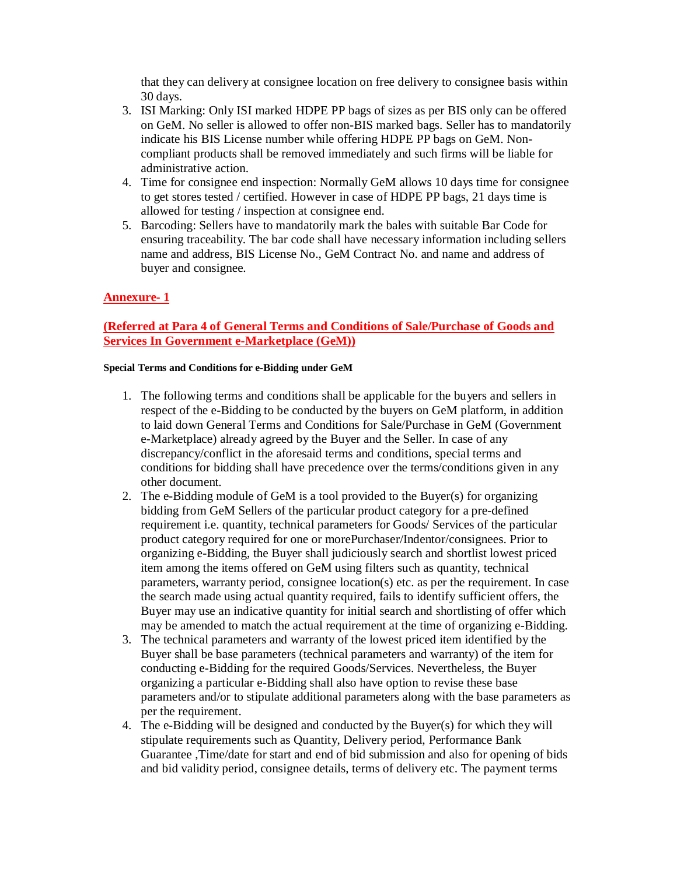that they can delivery at consignee location on free delivery to consignee basis within 30 days.

- 3. ISI Marking: Only ISI marked HDPE PP bags of sizes as per BIS only can be offered on GeM. No seller is allowed to offer non-BIS marked bags. Seller has to mandatorily indicate his BIS License number while offering HDPE PP bags on GeM. Noncompliant products shall be removed immediately and such firms will be liable for administrative action.
- 4. Time for consignee end inspection: Normally GeM allows 10 days time for consignee to get stores tested / certified. However in case of HDPE PP bags, 21 days time is allowed for testing / inspection at consignee end.
- 5. Barcoding: Sellers have to mandatorily mark the bales with suitable Bar Code for ensuring traceability. The bar code shall have necessary information including sellers name and address, BIS License No., GeM Contract No. and name and address of buyer and consignee.

## **Annexure- 1**

## **(Referred at Para 4 of General Terms and Conditions of Sale/Purchase of Goods and Services In Government e-Marketplace (GeM))**

#### **Special Terms and Conditions for e-Bidding under GeM**

- 1. The following terms and conditions shall be applicable for the buyers and sellers in respect of the e-Bidding to be conducted by the buyers on GeM platform, in addition to laid down General Terms and Conditions for Sale/Purchase in GeM (Government e-Marketplace) already agreed by the Buyer and the Seller. In case of any discrepancy/conflict in the aforesaid terms and conditions, special terms and conditions for bidding shall have precedence over the terms/conditions given in any other document.
- 2. The e-Bidding module of GeM is a tool provided to the Buyer(s) for organizing bidding from GeM Sellers of the particular product category for a pre-defined requirement i.e. quantity, technical parameters for Goods/ Services of the particular product category required for one or morePurchaser/Indentor/consignees. Prior to organizing e-Bidding, the Buyer shall judiciously search and shortlist lowest priced item among the items offered on GeM using filters such as quantity, technical parameters, warranty period, consignee location(s) etc. as per the requirement. In case the search made using actual quantity required, fails to identify sufficient offers, the Buyer may use an indicative quantity for initial search and shortlisting of offer which may be amended to match the actual requirement at the time of organizing e-Bidding.
- 3. The technical parameters and warranty of the lowest priced item identified by the Buyer shall be base parameters (technical parameters and warranty) of the item for conducting e-Bidding for the required Goods/Services. Nevertheless, the Buyer organizing a particular e-Bidding shall also have option to revise these base parameters and/or to stipulate additional parameters along with the base parameters as per the requirement.
- 4. The e-Bidding will be designed and conducted by the Buyer(s) for which they will stipulate requirements such as Quantity, Delivery period, Performance Bank Guarantee ,Time/date for start and end of bid submission and also for opening of bids and bid validity period, consignee details, terms of delivery etc. The payment terms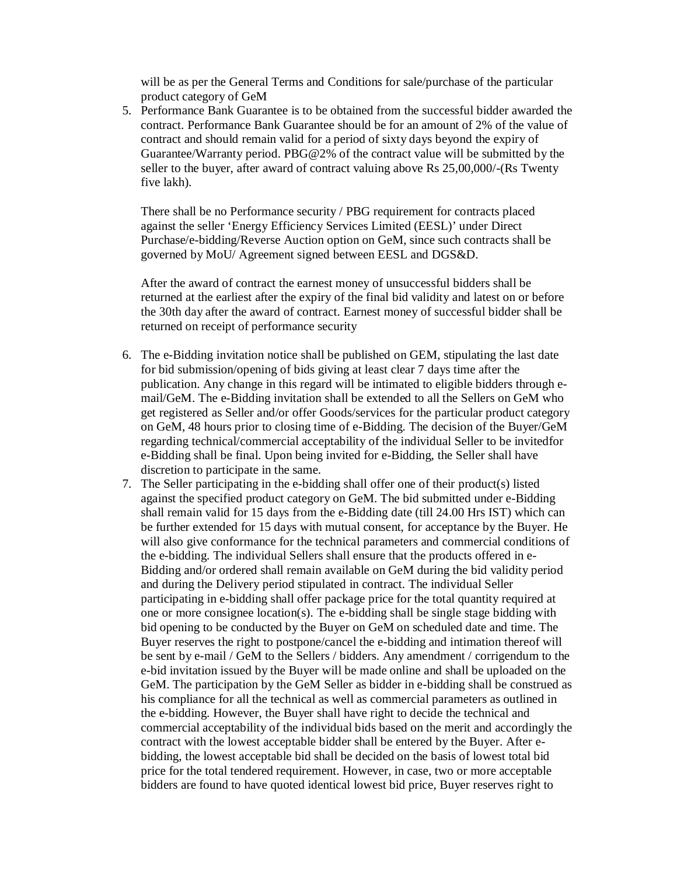will be as per the General Terms and Conditions for sale/purchase of the particular product category of GeM

5. Performance Bank Guarantee is to be obtained from the successful bidder awarded the contract. Performance Bank Guarantee should be for an amount of 2% of the value of contract and should remain valid for a period of sixty days beyond the expiry of Guarantee/Warranty period. PBG@2% of the contract value will be submitted by the seller to the buyer, after award of contract valuing above Rs 25,00,000/-(Rs Twenty five lakh).

There shall be no Performance security / PBG requirement for contracts placed against the seller 'Energy Efficiency Services Limited (EESL)' under Direct Purchase/e-bidding/Reverse Auction option on GeM, since such contracts shall be governed by MoU/ Agreement signed between EESL and DGS&D.

After the award of contract the earnest money of unsuccessful bidders shall be returned at the earliest after the expiry of the final bid validity and latest on or before the 30th day after the award of contract. Earnest money of successful bidder shall be returned on receipt of performance security

- 6. The e-Bidding invitation notice shall be published on GEM, stipulating the last date for bid submission/opening of bids giving at least clear 7 days time after the publication. Any change in this regard will be intimated to eligible bidders through email/GeM. The e-Bidding invitation shall be extended to all the Sellers on GeM who get registered as Seller and/or offer Goods/services for the particular product category on GeM, 48 hours prior to closing time of e-Bidding. The decision of the Buyer/GeM regarding technical/commercial acceptability of the individual Seller to be invitedfor e-Bidding shall be final. Upon being invited for e-Bidding, the Seller shall have discretion to participate in the same.
- 7. The Seller participating in the e-bidding shall offer one of their product(s) listed against the specified product category on GeM. The bid submitted under e-Bidding shall remain valid for 15 days from the e-Bidding date (till 24.00 Hrs IST) which can be further extended for 15 days with mutual consent, for acceptance by the Buyer. He will also give conformance for the technical parameters and commercial conditions of the e-bidding. The individual Sellers shall ensure that the products offered in e-Bidding and/or ordered shall remain available on GeM during the bid validity period and during the Delivery period stipulated in contract. The individual Seller participating in e-bidding shall offer package price for the total quantity required at one or more consignee location(s). The e-bidding shall be single stage bidding with bid opening to be conducted by the Buyer on GeM on scheduled date and time. The Buyer reserves the right to postpone/cancel the e-bidding and intimation thereof will be sent by e-mail / GeM to the Sellers / bidders. Any amendment / corrigendum to the e-bid invitation issued by the Buyer will be made online and shall be uploaded on the GeM. The participation by the GeM Seller as bidder in e-bidding shall be construed as his compliance for all the technical as well as commercial parameters as outlined in the e-bidding. However, the Buyer shall have right to decide the technical and commercial acceptability of the individual bids based on the merit and accordingly the contract with the lowest acceptable bidder shall be entered by the Buyer. After ebidding, the lowest acceptable bid shall be decided on the basis of lowest total bid price for the total tendered requirement. However, in case, two or more acceptable bidders are found to have quoted identical lowest bid price, Buyer reserves right to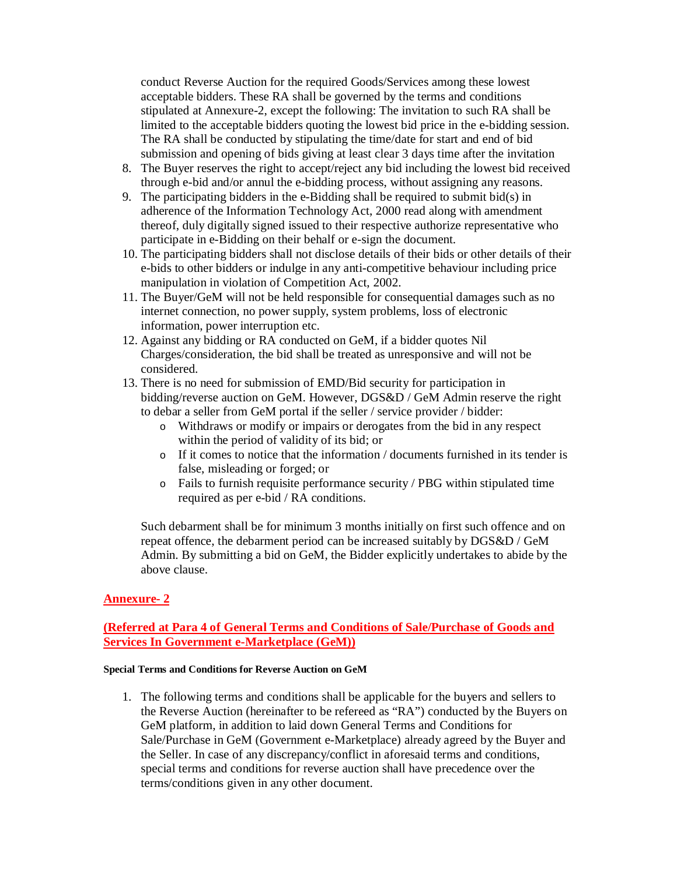conduct Reverse Auction for the required Goods/Services among these lowest acceptable bidders. These RA shall be governed by the terms and conditions stipulated at Annexure-2, except the following: The invitation to such RA shall be limited to the acceptable bidders quoting the lowest bid price in the e-bidding session. The RA shall be conducted by stipulating the time/date for start and end of bid submission and opening of bids giving at least clear 3 days time after the invitation

- 8. The Buyer reserves the right to accept/reject any bid including the lowest bid received through e-bid and/or annul the e-bidding process, without assigning any reasons.
- 9. The participating bidders in the e-Bidding shall be required to submit bid(s) in adherence of the Information Technology Act, 2000 read along with amendment thereof, duly digitally signed issued to their respective authorize representative who participate in e-Bidding on their behalf or e-sign the document.
- 10. The participating bidders shall not disclose details of their bids or other details of their e-bids to other bidders or indulge in any anti-competitive behaviour including price manipulation in violation of Competition Act, 2002.
- 11. The Buyer/GeM will not be held responsible for consequential damages such as no internet connection, no power supply, system problems, loss of electronic information, power interruption etc.
- 12. Against any bidding or RA conducted on GeM, if a bidder quotes Nil Charges/consideration, the bid shall be treated as unresponsive and will not be considered.
- 13. There is no need for submission of EMD/Bid security for participation in bidding/reverse auction on GeM. However, DGS&D / GeM Admin reserve the right to debar a seller from GeM portal if the seller / service provider / bidder:
	- o Withdraws or modify or impairs or derogates from the bid in any respect within the period of validity of its bid; or
	- o If it comes to notice that the information / documents furnished in its tender is false, misleading or forged; or
	- o Fails to furnish requisite performance security / PBG within stipulated time required as per e-bid / RA conditions.

Such debarment shall be for minimum 3 months initially on first such offence and on repeat offence, the debarment period can be increased suitably by DGS&D / GeM Admin. By submitting a bid on GeM, the Bidder explicitly undertakes to abide by the above clause.

## **Annexure- 2**

## **(Referred at Para 4 of General Terms and Conditions of Sale/Purchase of Goods and Services In Government e-Marketplace (GeM))**

#### **Special Terms and Conditions for Reverse Auction on GeM**

1. The following terms and conditions shall be applicable for the buyers and sellers to the Reverse Auction (hereinafter to be refereed as "RA") conducted by the Buyers on GeM platform, in addition to laid down General Terms and Conditions for Sale/Purchase in GeM (Government e-Marketplace) already agreed by the Buyer and the Seller. In case of any discrepancy/conflict in aforesaid terms and conditions, special terms and conditions for reverse auction shall have precedence over the terms/conditions given in any other document.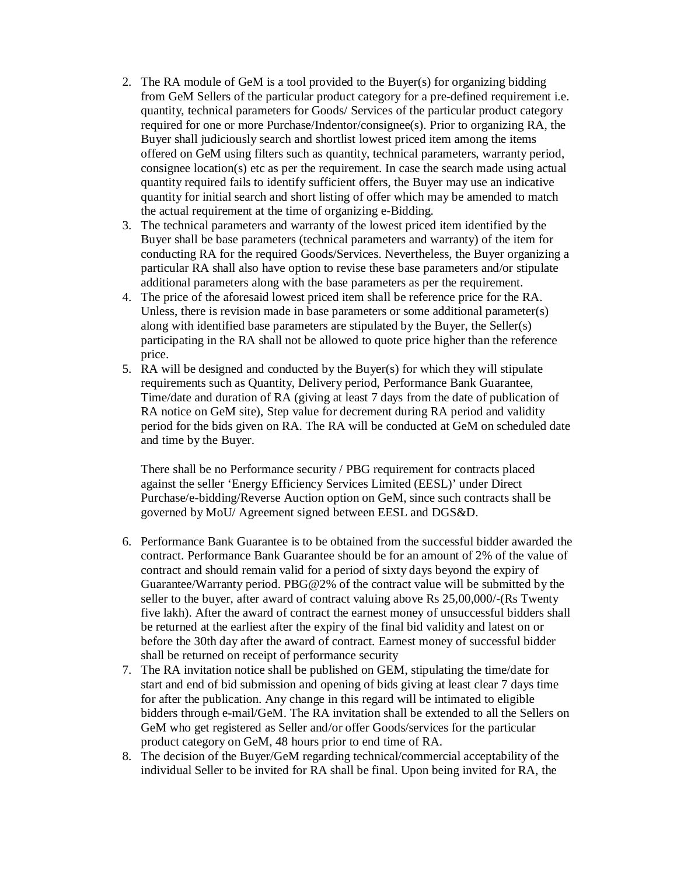- 2. The RA module of GeM is a tool provided to the Buyer(s) for organizing bidding from GeM Sellers of the particular product category for a pre-defined requirement i.e. quantity, technical parameters for Goods/ Services of the particular product category required for one or more Purchase/Indentor/consignee(s). Prior to organizing RA, the Buyer shall judiciously search and shortlist lowest priced item among the items offered on GeM using filters such as quantity, technical parameters, warranty period, consignee location(s) etc as per the requirement. In case the search made using actual quantity required fails to identify sufficient offers, the Buyer may use an indicative quantity for initial search and short listing of offer which may be amended to match the actual requirement at the time of organizing e-Bidding.
- 3. The technical parameters and warranty of the lowest priced item identified by the Buyer shall be base parameters (technical parameters and warranty) of the item for conducting RA for the required Goods/Services. Nevertheless, the Buyer organizing a particular RA shall also have option to revise these base parameters and/or stipulate additional parameters along with the base parameters as per the requirement.
- 4. The price of the aforesaid lowest priced item shall be reference price for the RA. Unless, there is revision made in base parameters or some additional parameter(s) along with identified base parameters are stipulated by the Buyer, the Seller(s) participating in the RA shall not be allowed to quote price higher than the reference price.
- 5. RA will be designed and conducted by the Buyer(s) for which they will stipulate requirements such as Quantity, Delivery period, Performance Bank Guarantee, Time/date and duration of RA (giving at least 7 days from the date of publication of RA notice on GeM site), Step value for decrement during RA period and validity period for the bids given on RA. The RA will be conducted at GeM on scheduled date and time by the Buyer.

There shall be no Performance security / PBG requirement for contracts placed against the seller 'Energy Efficiency Services Limited (EESL)' under Direct Purchase/e-bidding/Reverse Auction option on GeM, since such contracts shall be governed by MoU/ Agreement signed between EESL and DGS&D.

- 6. Performance Bank Guarantee is to be obtained from the successful bidder awarded the contract. Performance Bank Guarantee should be for an amount of 2% of the value of contract and should remain valid for a period of sixty days beyond the expiry of Guarantee/Warranty period. PBG@2% of the contract value will be submitted by the seller to the buyer, after award of contract valuing above Rs 25,00,000/-(Rs Twenty five lakh). After the award of contract the earnest money of unsuccessful bidders shall be returned at the earliest after the expiry of the final bid validity and latest on or before the 30th day after the award of contract. Earnest money of successful bidder shall be returned on receipt of performance security
- 7. The RA invitation notice shall be published on GEM, stipulating the time/date for start and end of bid submission and opening of bids giving at least clear 7 days time for after the publication. Any change in this regard will be intimated to eligible bidders through e-mail/GeM. The RA invitation shall be extended to all the Sellers on GeM who get registered as Seller and/or offer Goods/services for the particular product category on GeM, 48 hours prior to end time of RA.
- 8. The decision of the Buyer/GeM regarding technical/commercial acceptability of the individual Seller to be invited for RA shall be final. Upon being invited for RA, the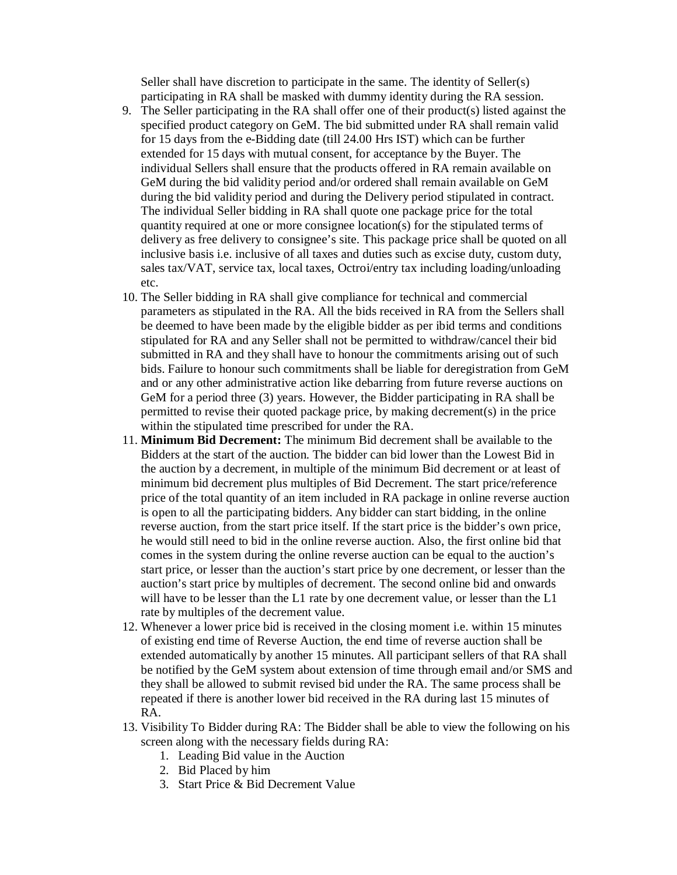Seller shall have discretion to participate in the same. The identity of Seller(s) participating in RA shall be masked with dummy identity during the RA session.

- 9. The Seller participating in the RA shall offer one of their product(s) listed against the specified product category on GeM. The bid submitted under RA shall remain valid for 15 days from the e-Bidding date (till 24.00 Hrs IST) which can be further extended for 15 days with mutual consent, for acceptance by the Buyer. The individual Sellers shall ensure that the products offered in RA remain available on GeM during the bid validity period and/or ordered shall remain available on GeM during the bid validity period and during the Delivery period stipulated in contract. The individual Seller bidding in RA shall quote one package price for the total quantity required at one or more consignee location(s) for the stipulated terms of delivery as free delivery to consignee's site. This package price shall be quoted on all inclusive basis i.e. inclusive of all taxes and duties such as excise duty, custom duty, sales tax/VAT, service tax, local taxes, Octroi/entry tax including loading/unloading etc.
- 10. The Seller bidding in RA shall give compliance for technical and commercial parameters as stipulated in the RA. All the bids received in RA from the Sellers shall be deemed to have been made by the eligible bidder as per ibid terms and conditions stipulated for RA and any Seller shall not be permitted to withdraw/cancel their bid submitted in RA and they shall have to honour the commitments arising out of such bids. Failure to honour such commitments shall be liable for deregistration from GeM and or any other administrative action like debarring from future reverse auctions on GeM for a period three (3) years. However, the Bidder participating in RA shall be permitted to revise their quoted package price, by making decrement(s) in the price within the stipulated time prescribed for under the RA.
- 11. **Minimum Bid Decrement:** The minimum Bid decrement shall be available to the Bidders at the start of the auction. The bidder can bid lower than the Lowest Bid in the auction by a decrement, in multiple of the minimum Bid decrement or at least of minimum bid decrement plus multiples of Bid Decrement. The start price/reference price of the total quantity of an item included in RA package in online reverse auction is open to all the participating bidders. Any bidder can start bidding, in the online reverse auction, from the start price itself. If the start price is the bidder's own price, he would still need to bid in the online reverse auction. Also, the first online bid that comes in the system during the online reverse auction can be equal to the auction's start price, or lesser than the auction's start price by one decrement, or lesser than the auction's start price by multiples of decrement. The second online bid and onwards will have to be lesser than the L1 rate by one decrement value, or lesser than the L1 rate by multiples of the decrement value.
- 12. Whenever a lower price bid is received in the closing moment i.e. within 15 minutes of existing end time of Reverse Auction, the end time of reverse auction shall be extended automatically by another 15 minutes. All participant sellers of that RA shall be notified by the GeM system about extension of time through email and/or SMS and they shall be allowed to submit revised bid under the RA. The same process shall be repeated if there is another lower bid received in the RA during last 15 minutes of RA.
- 13. Visibility To Bidder during RA: The Bidder shall be able to view the following on his screen along with the necessary fields during RA:
	- 1. Leading Bid value in the Auction
	- 2. Bid Placed by him
	- 3. Start Price & Bid Decrement Value